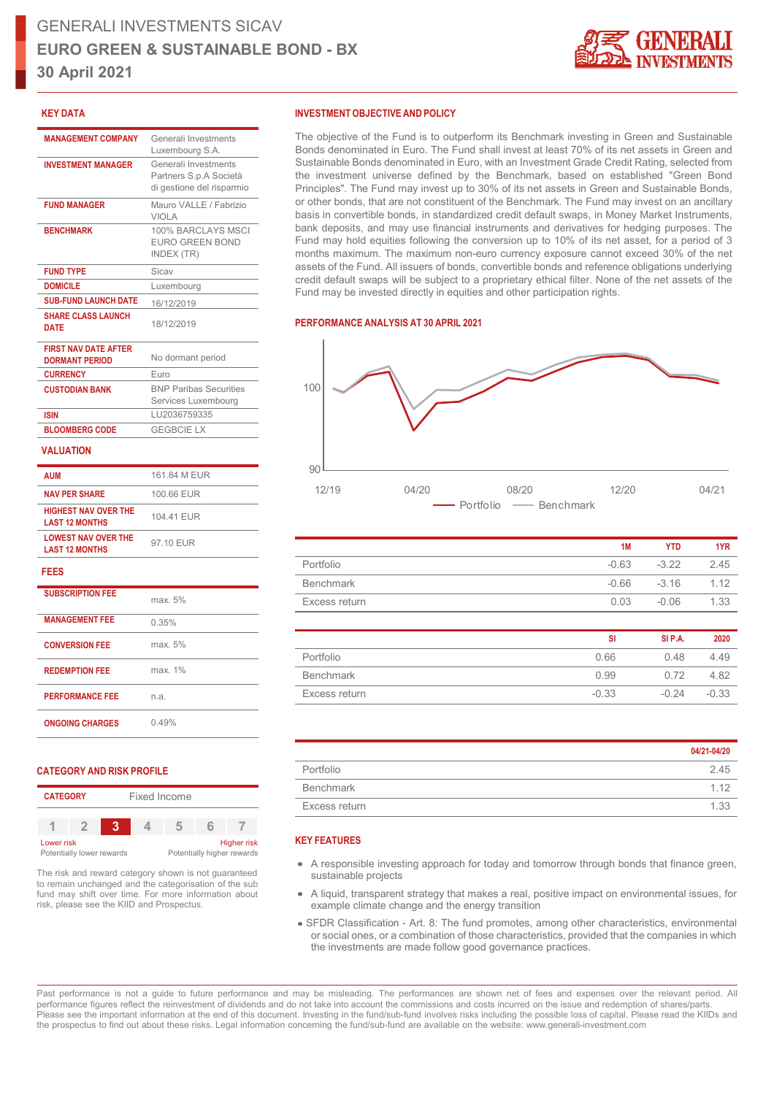

### **KEY DATA**

| <b>MANAGEMENT COMPANY</b>                            | Generali Investments<br>Luxembourg S.A.                                     |
|------------------------------------------------------|-----------------------------------------------------------------------------|
| <b>INVESTMENT MANAGER</b>                            | Generali Investments<br>Partners S.p.A Società<br>di gestione del risparmio |
| <b>FUND MANAGER</b>                                  | Mauro VALLE / Fabrizio<br>VIOI A                                            |
| <b>BENCHMARK</b>                                     | 100% BARCLAYS MSCI<br>EURO GREEN BOND<br>INDEX (TR)                         |
| <b>FUND TYPE</b>                                     | Sicav                                                                       |
| <b>DOMICILE</b>                                      | Luxembourg                                                                  |
| <b>SUB-FUND LAUNCH DATE</b>                          | 16/12/2019                                                                  |
| <b>SHARE CLASS LAUNCH</b><br><b>DATE</b>             | 18/12/2019                                                                  |
| <b>FIRST NAV DATE AFTER</b><br><b>DORMANT PERIOD</b> | No dormant period                                                           |
| <b>CURRENCY</b>                                      | Euro                                                                        |
| <b>CUSTODIAN BANK</b>                                | <b>BNP Paribas Securities</b><br>Services Luxembourg                        |
| <b>ISIN</b>                                          | LU2036759335                                                                |
| <b>BLOOMBERG CODE</b>                                | <b>GEGBCIE LX</b>                                                           |
| <b>VALUATION</b>                                     |                                                                             |
| <b>AUM</b>                                           | 161.84 M EUR                                                                |
| <b>NAV PER SHARE</b>                                 | 100.66 EUR                                                                  |
| <b>HIGHEST NAV OVER THE</b><br><b>LAST 12 MONTHS</b> | 104.41 EUR                                                                  |
| <b>LOWEST NAV OVER THE</b><br><b>LAST 12 MONTHS</b>  | 97.10 EUR                                                                   |
| <b>FEES</b>                                          |                                                                             |
| <b>SUBSCRIPTION FFF</b>                              | max. 5%                                                                     |
| <b>MANAGEMENT FEE</b>                                | 0.35%                                                                       |
| <b>CONVERSION FEE</b>                                | max. 5%                                                                     |
| <b>REDEMPTION FEE</b>                                | max. 1%                                                                     |

# **PERFORMANCE FEE** n.a. **ONGOING CHARGES** 0.49%

### **CATEGORY AND RISK PROFILE**

| <b>CATEGORY</b><br>Fixed Income         |  |   |  |                                                  |  |  |
|-----------------------------------------|--|---|--|--------------------------------------------------|--|--|
|                                         |  | ĸ |  |                                                  |  |  |
| Lower risk<br>Potentially lower rewards |  |   |  | <b>Higher risk</b><br>Potentially higher rewards |  |  |

The risk and reward category shown is not guaranteed to remain unchanged and the categorisation of the sub fund may shift over time. For more information about risk, please see the KIID and Prospectus.

### **INVESTMENT OBJECTIVE AND POLICY**

The objective of the Fund is to outperform its Benchmark investing in Green and Sustainable Bonds denominated in Euro. The Fund shall invest at least 70% of its net assets in Green and Sustainable Bonds denominated in Euro, with an Investment Grade Credit Rating, selected from the investment universe defined by the Benchmark, based on established "Green Bond Principles". The Fund may invest up to 30% of its net assets in Green and Sustainable Bonds, or other bonds, that are not constituent of the Benchmark. The Fund may invest on an ancillary basis in convertible bonds, in standardized credit default swaps, in Money Market Instruments, bank deposits, and may use financial instruments and derivatives for hedging purposes. The Fund may hold equities following the conversion up to 10% of its net asset, for a period of 3 months maximum. The maximum non-euro currency exposure cannot exceed 30% of the net assets of the Fund. All issuers of bonds, convertible bonds and reference obligations underlying credit default swaps will be subject to a proprietary ethical filter. None of the net assets of the Fund may be invested directly in equities and other participation rights.

### **PERFORMANCE ANALYSIS AT 30 APRIL 2021**



|               | 1M      | YTD.            | 1YR  |
|---------------|---------|-----------------|------|
| Portfolio     | $-0.63$ | $-3.22$         | 245  |
| Benchmark     |         | $-0.66$ $-3.16$ | 1.12 |
| Excess return | 0.03    | -0.06           | 1.33 |

|               | SI      | SI P.A. | 2020    |
|---------------|---------|---------|---------|
| Portfolio     | 0.66    | 0.48    | 449     |
| Benchmark     | 0.99    | 0.72    | 4.82    |
| Excess return | $-0.33$ | $-0.24$ | $-0.33$ |

|                  | 04/21-04/20 |
|------------------|-------------|
| Portfolio        | 2.45        |
| <b>Benchmark</b> | 1 1 2       |
| Excess return    | 1.33        |

## **KEY FEATURES**

- A responsible investing approach for today and tomorrow through bonds that finance green, sustainable projects
- A liquid, transparent strategy that makes a real, positive impact on environmental issues, for example climate change and the energy transition
- SFDR Classification Art. 8: The fund promotes, among other characteristics, environmental or social ones, or a combination of those characteristics, provided that the companies in which the investments are made follow good governance practices.

Past performance is not a guide to future performance and may be misleading. The performances are shown net of fees and expenses over the relevant period. All performance figures reflect the reinvestment of dividends and do not take into account the commissions and costs incurred on the issue and redemption of shares/parts. Please see the important information at the end of this document. Investing in the fund/sub-fund involves risks including the possible loss of capital. Please read the KIIDs and the prospectus to find out about these risks. Legal information concerning the fund/sub-fund are available on the website: www.generali-investment.com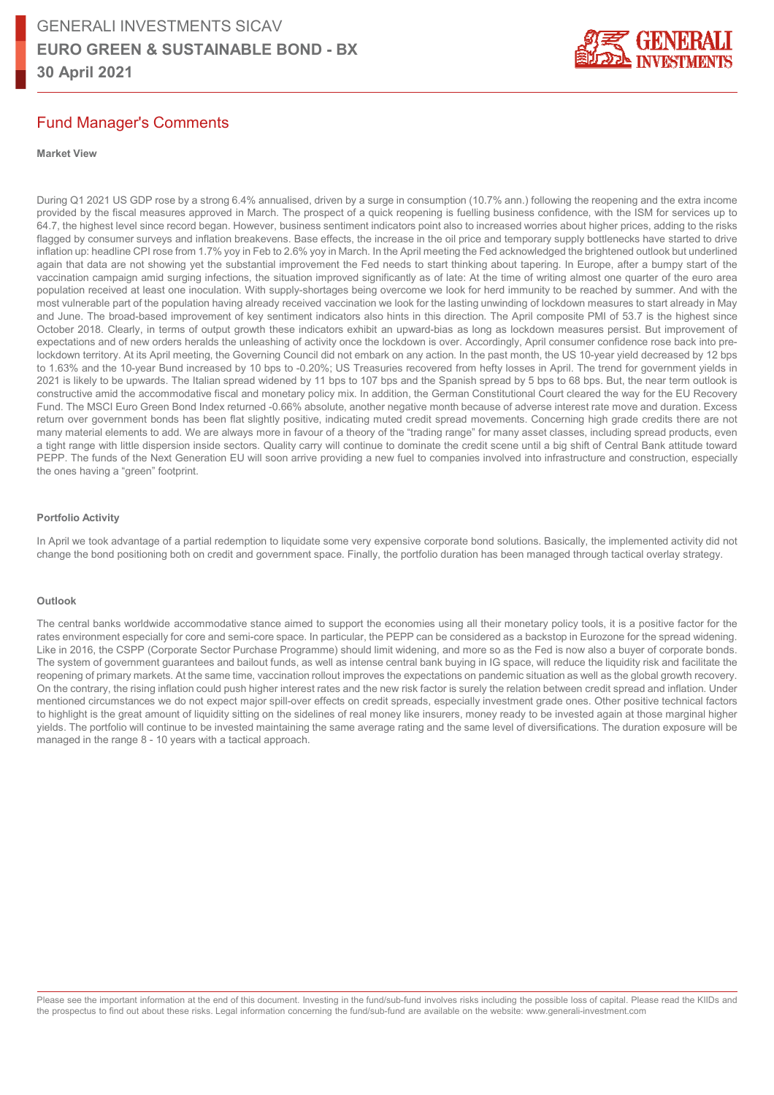

## Fund Manager's Comments

### **Market View**

During Q1 2021 US GDP rose by a strong 6.4% annualised, driven by a surge in consumption (10.7% ann.) following the reopening and the extra income provided by the fiscal measures approved in March. The prospect of a quick reopening is fuelling business confidence, with the ISM for services up to 64.7, the highest level since record began. However, business sentiment indicators point also to increased worries about higher prices, adding to the risks flagged by consumer surveys and inflation breakevens. Base effects, the increase in the oil price and temporary supply bottlenecks have started to drive inflation up: headline CPI rose from 1.7% yoy in Feb to 2.6% yoy in March. In the April meeting the Fed acknowledged the brightened outlook but underlined again that data are not showing yet the substantial improvement the Fed needs to start thinking about tapering. In Europe, after a bumpy start of the vaccination campaign amid surging infections, the situation improved significantly as of late: At the time of writing almost one quarter of the euro area population received at least one inoculation. With supply-shortages being overcome we look for herd immunity to be reached by summer. And with the most vulnerable part of the population having already received vaccination we look for the lasting unwinding of lockdown measures to start already in May and June. The broad-based improvement of key sentiment indicators also hints in this direction. The April composite PMI of 53.7 is the highest since October 2018. Clearly, in terms of output growth these indicators exhibit an upward-bias as long as lockdown measures persist. But improvement of expectations and of new orders heralds the unleashing of activity once the lockdown is over. Accordingly, April consumer confidence rose back into prelockdown territory. At its April meeting, the Governing Council did not embark on any action. In the past month, the US 10-year yield decreased by 12 bps to 1.63% and the 10-year Bund increased by 10 bps to -0.20%; US Treasuries recovered from hefty losses in April. The trend for government yields in 2021 is likely to be upwards. The Italian spread widened by 11 bps to 107 bps and the Spanish spread by 5 bps to 68 bps. But, the near term outlook is constructive amid the accommodative fiscal and monetary policy mix. In addition, the German Constitutional Court cleared the way for the EU Recovery Fund. The MSCI Euro Green Bond Index returned -0.66% absolute, another negative month because of adverse interest rate move and duration. Excess return over government bonds has been flat slightly positive, indicating muted credit spread movements. Concerning high grade credits there are not many material elements to add. We are always more in favour of a theory of the "trading range" for many asset classes, including spread products, even a tight range with little dispersion inside sectors. Quality carry will continue to dominate the credit scene until a big shift of Central Bank attitude toward PEPP. The funds of the Next Generation EU will soon arrive providing a new fuel to companies involved into infrastructure and construction, especially the ones having a "green" footprint.

### **Portfolio Activity**

In April we took advantage of a partial redemption to liquidate some very expensive corporate bond solutions. Basically, the implemented activity did not change the bond positioning both on credit and government space. Finally, the portfolio duration has been managed through tactical overlay strategy.

### **Outlook**

The central banks worldwide accommodative stance aimed to support the economies using all their monetary policy tools, it is a positive factor for the rates environment especially for core and semi-core space. In particular, the PEPP can be considered as a backstop in Eurozone for the spread widening. Like in 2016, the CSPP (Corporate Sector Purchase Programme) should limit widening, and more so as the Fed is now also a buyer of corporate bonds. The system of government guarantees and bailout funds, as well as intense central bank buying in IG space, will reduce the liquidity risk and facilitate the reopening of primary markets. At the same time, vaccination rollout improves the expectations on pandemic situation as well as the global growth recovery. On the contrary, the rising inflation could push higher interest rates and the new risk factor is surely the relation between credit spread and inflation. Under mentioned circumstances we do not expect major spill-over effects on credit spreads, especially investment grade ones. Other positive technical factors to highlight is the great amount of liquidity sitting on the sidelines of real money like insurers, money ready to be invested again at those marginal higher yields. The portfolio will continue to be invested maintaining the same average rating and the same level of diversifications. The duration exposure will be managed in the range 8 - 10 years with a tactical approach.

Please see the important information at the end of this document. Investing in the fund/sub-fund involves risks including the possible loss of capital. Please read the KIIDs and the prospectus to find out about these risks. Legal information concerning the fund/sub-fund are available on the website: www.generali-investment.com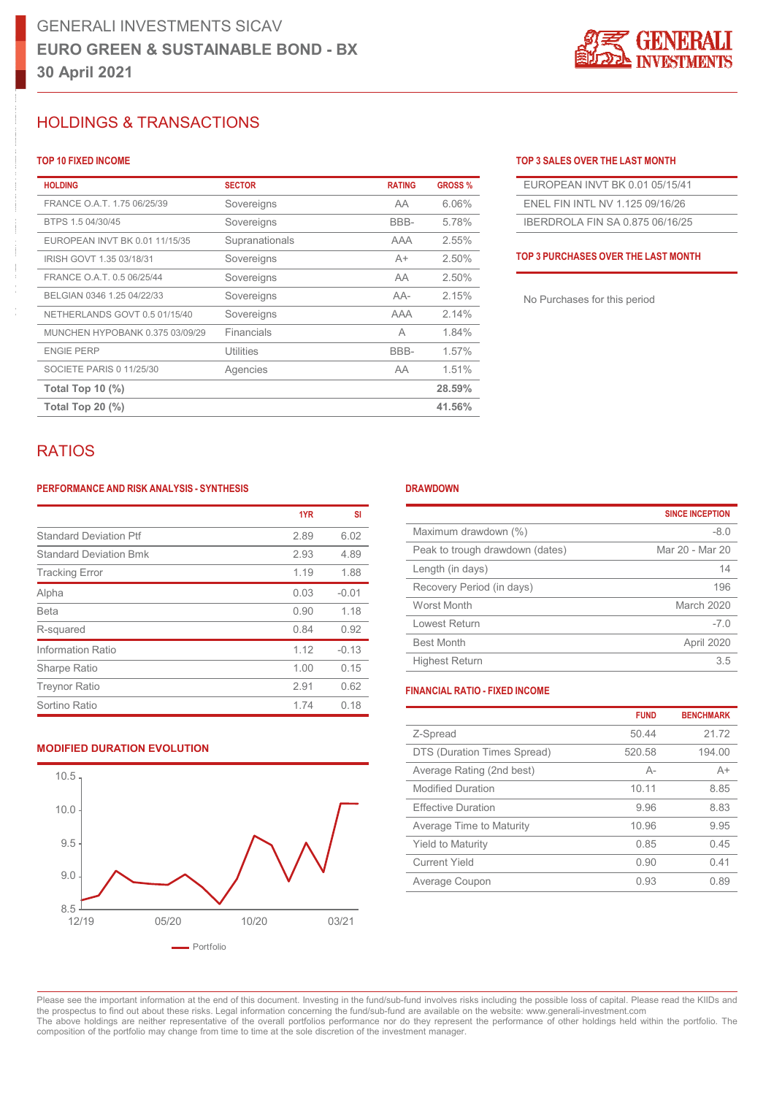

### LIOLDINCE & TRANSACTIONS HOLDINGS & TRANSACTIONS **FRANCE O.A.T. 1.75 Souereigns ARTICLE**

| <b>HOLDING</b>                  | <b>SECTOR</b>     | <b>RATING</b> | <b>GROSS %</b> | EUROPEAN INVT BK 0.01 05/15/41      |
|---------------------------------|-------------------|---------------|----------------|-------------------------------------|
| FRANCE O.A.T. 1.75 06/25/39     | Sovereigns        | AA            | 6.06%          | ENEL FIN INTL NV 1.125 09/16/26     |
| BTPS 1.5 04/30/45               | Sovereigns        | BBB-          | 5.78%          | IBERDROLA FIN SA 0.875 06/16/25     |
| EUROPEAN INVT BK 0.01 11/15/35  | Supranationals    | <b>AAA</b>    | 2.55%          |                                     |
| IRISH GOVT 1.35 03/18/31        | Sovereigns        | $A+$          | 2.50%          | TOP 3 PURCHASES OVER THE LAST MONTH |
| FRANCE O.A.T. 0.5 06/25/44      | Sovereigns        | AA            | 2.50%          |                                     |
| BELGIAN 0346 1.25 04/22/33      | Sovereigns        | AA-           | 2.15%          | No Purchases for this period        |
| NETHERLANDS GOVT 0.5 01/15/40   | Sovereigns        | <b>AAA</b>    | 2.14%          |                                     |
| MUNCHEN HYPOBANK 0.375 03/09/29 | <b>Financials</b> | A             | 1.84%          |                                     |
| <b>ENGIE PERP</b>               | <b>Utilities</b>  | BBB-          | 1.57%          |                                     |
| SOCIETE PARIS 0 11/25/30        | Agencies          | AA            | 1.51%          |                                     |
| Total Top 10 $(\%)$             |                   |               | 28.59%         |                                     |
| Total Top 20 $(\%)$             |                   |               | 41.56%         |                                     |

 $\overline{\phantom{a}}$ 335 1960  $\overline{\phantom{a}}$ 335 1960  $\overline{\phantom{a}}$ 1960  $\overline{\phantom{a}}$ 1.359 15.59 15.59 15.59 15.59 15.59 15.59 15.59 15.59 15.59 15.59 15.59 15.59 15.59 15.59 15.59 15.59 15.59 15.59 15.59 15.59 15.59 15.59 15.59 15.59 15.5

### **LUCCO STATES INCOME** TO PUT A SALES OVER THE STATES OF A SALES OVER THE STATES OF A SALES OVER THE STATES OF A SALES OVER THE STATES OF A SALES OVER THE STATES OF A SALES OF A SALES OF A SALES OF A SALES OF A SALES OF A S 5-10Y 47.36 39.09 LUP TO FIXED INCOME **TOP 10 FIXED INCOME TOP 3 SALES OVER THE LAST MONTH**

| EUROPEAN INVT BK 0.01 05/15/41  |
|---------------------------------|
| FNEL FIN INTL NV 1 125 09/16/26 |
| IBERDROLA FIN SA 0.875 06/16/25 |

## RATIOS

### **PERFORMANCE AND RISK ANALYSIS - SYNTHESIS**

|                               | 1YR  | SI      |
|-------------------------------|------|---------|
| <b>Standard Deviation Ptf</b> | 2.89 | 6.02    |
| <b>Standard Deviation Bmk</b> | 2.93 | 4.89    |
| <b>Tracking Error</b>         | 1.19 | 1.88    |
| Alpha                         | 0.03 | $-0.01$ |
| <b>Beta</b>                   | 0.90 | 1.18    |
| R-squared                     | 0.84 | 0.92    |
| Information Ratio             | 1.12 | $-0.13$ |
| Sharpe Ratio                  | 1.00 | 0.15    |
| <b>Treynor Ratio</b>          | 2.91 | 0.62    |
| Sortino Ratio                 | 1.74 | 0.18    |

## **MODIFIED DURATION EVOLUTION**



### **DRAWDOWN**

0-1Y 0.54 3.05

| <b>SINCE INCEPTION</b> |
|------------------------|
| $-8.0$                 |
| Mar 20 - Mar 20        |
| 14                     |
| 196                    |
| March 2020             |
| $-7.0$                 |
| April 2020             |
| 3.5                    |
|                        |

### **FINANCIAL RATIO - FIXED INCOME**

|                             | <b>FUND</b> | <b>BENCHMARK</b> |
|-----------------------------|-------------|------------------|
| Z-Spread                    | 50.44       | 21.72            |
| DTS (Duration Times Spread) | 520.58      | 194.00           |
| Average Rating (2nd best)   | $A -$       | $A+$             |
| <b>Modified Duration</b>    | 10.11       | 8.85             |
| <b>Effective Duration</b>   | 9.96        | 8.83             |
| Average Time to Maturity    | 10.96       | 9.95             |
| <b>Yield to Maturity</b>    | 0.85        | 045              |
| <b>Current Yield</b>        | 0.90        | 0.41             |
| Average Coupon              | 0.93        | 0.89             |

Please see the important information at the end of this document. Investing in the fund/sub-fund involves risks including the possible loss of capital. Please read the KIIDs and the prospectus to find out about these risks. Legal information concerning the fund/sub-fund are available on the website: www.generali-investment.com The above holdings are neither representative of the overall portfolios performance nor do they represent the performance of other holdings held within the portfolio. The composition of the portfolio may change from time to time at the sole discretion of the investment manager.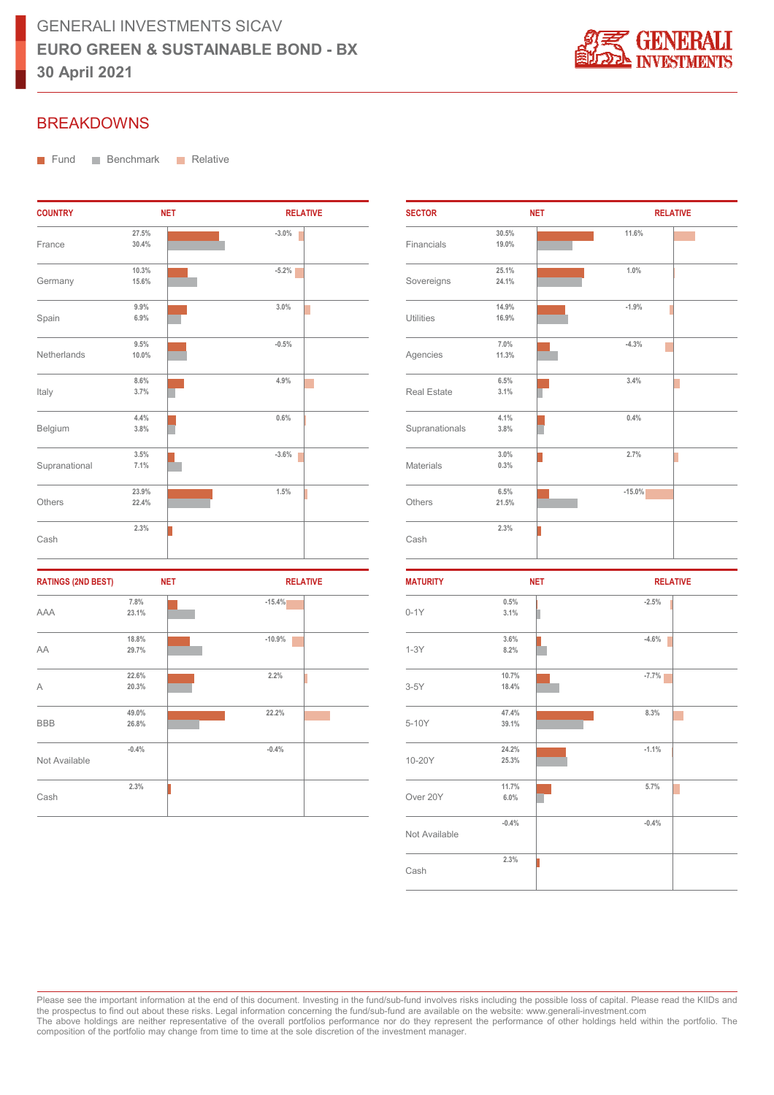

## BREAKDOWNS

**Fund** Benchmark **Relative** 

| <b>COUNTRY</b> |                | <b>NET</b> | <b>RELATIVE</b> |
|----------------|----------------|------------|-----------------|
| France         | 27.5%<br>30.4% |            | $-3.0%$         |
| Germany        | 10.3%<br>15.6% |            | $-5.2%$         |
| Spain          | 9.9%<br>6.9%   |            | 3.0%            |
| Netherlands    | 9.5%<br>10.0%  |            | $-0.5%$         |
| Italy          | 8.6%<br>3.7%   |            | 4.9%            |
| Belgium        | 4.4%<br>3.8%   |            | 0.6%            |
| Supranational  | 3.5%<br>7.1%   |            | $-3.6%$         |
| Others         | 23.9%<br>22.4% |            | 1.5%            |
| Cash           | 2.3%           |            |                 |

| <b>RATINGS (2ND BEST)</b> |         | <b>NET</b><br><b>RELATIVE</b> |
|---------------------------|---------|-------------------------------|
|                           | 7.8%    | $-15.4%$                      |
| AAA                       | 23.1%   |                               |
|                           | 18.8%   | $-10.9%$                      |
| AA                        | 29.7%   |                               |
|                           | 22.6%   | 2.2%                          |
| A                         | 20.3%   |                               |
|                           | 49.0%   | 22.2%                         |
| <b>BBB</b>                | 26.8%   |                               |
|                           | $-0.4%$ | $-0.4%$                       |
| Not Available             |         |                               |
|                           | 2.3%    |                               |
| Cash                      |         |                               |

| <b>SECTOR</b>      | <b>NET</b> |  | <b>RELATIVE</b> |  |
|--------------------|------------|--|-----------------|--|
|                    | 30.5%      |  | 11.6%           |  |
| Financials         | 19.0%      |  |                 |  |
|                    | 25.1%      |  | 1.0%            |  |
| Sovereigns         | 24.1%      |  |                 |  |
|                    | 14.9%      |  | $-1.9%$         |  |
| <b>Utilities</b>   | 16.9%      |  |                 |  |
|                    | 7.0%       |  | $-4.3%$         |  |
| Agencies           | 11.3%      |  |                 |  |
|                    | 6.5%       |  | 3.4%            |  |
| <b>Real Estate</b> | 3.1%       |  |                 |  |
|                    | 4.1%       |  | 0.4%            |  |
| Supranationals     | 3.8%       |  |                 |  |
|                    | 3.0%       |  | 2.7%            |  |
| <b>Materials</b>   | 0.3%       |  |                 |  |
|                    | 6.5%       |  | $-15.0%$        |  |
| Others             | 21.5%      |  |                 |  |
|                    | 2.3%       |  |                 |  |
| Cash               |            |  |                 |  |

| <b>MATURITY</b> | <b>NET</b> | <b>RELATIVE</b> |
|-----------------|------------|-----------------|
|                 | 0.5%       | $-2.5%$         |
| $0-1Y$          | 3.1%       |                 |
|                 | 3.6%       | $-4.6%$         |
| $1-3Y$          | 8.2%       |                 |
| $3-5Y$          | 10.7%      | $-7.7%$         |
|                 | 18.4%      |                 |
| 5-10Y           | 47.4%      | 8.3%            |
|                 | 39.1%      |                 |
|                 | 24.2%      | $-1.1%$         |
| 10-20Y          | 25.3%      |                 |
|                 | 11.7%      | 5.7%            |
| Over 20Y        | 6.0%       |                 |
|                 | $-0.4%$    | $-0.4%$         |
| Not Available   |            |                 |
|                 | 2.3%       |                 |
| Cash            |            |                 |

Please see the important information at the end of this document. Investing in the fund/sub-fund involves risks including the possible loss of capital. Please read the KIIDs and the prospectus to find out about these risks. Legal information concerning the fund/sub-fund are available on the website: www.generali-investment.com The above holdings are neither representative of the overall portfolios performance nor do they represent the performance of other holdings held within the portfolio. The composition of the portfolio may change from time to time at the sole discretion of the investment manager.